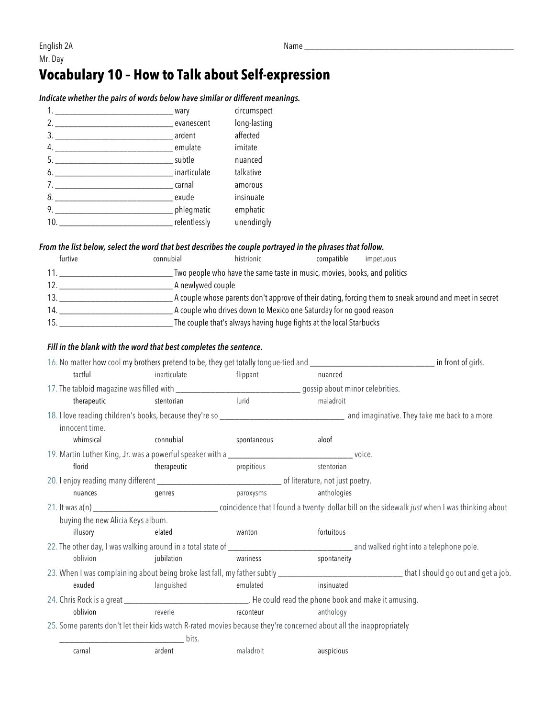## **Vocabulary 10 – How to Talk about Self-expression**

### *Indicate whether the pairs of words below have similar or different meanings.*

|                                                                | wary   | circumspect  |
|----------------------------------------------------------------|--------|--------------|
|                                                                |        | long-lasting |
| 3. ardent                                                      |        | affected     |
|                                                                |        | imitate      |
|                                                                |        | nuanced      |
| 6. https://www.finarticulate.com/                              |        | talkative    |
|                                                                | carnal | amorous      |
| 8. exude                                                       |        | insinuate    |
|                                                                |        | emphatic     |
| ______________________________ relentlessly<br>10 <sub>1</sub> |        | unendingly   |
|                                                                |        |              |

#### *From the list below, select the word that best describes the couple portrayed in the phrases that follow.*

| furtive | connubial | histrionic                                                               | compatible | impetuous                                                                                             |
|---------|-----------|--------------------------------------------------------------------------|------------|-------------------------------------------------------------------------------------------------------|
|         |           | Two people who have the same taste in music, movies, books, and politics |            |                                                                                                       |
| 12      |           | A newlywed couple                                                        |            |                                                                                                       |
|         |           |                                                                          |            | A couple whose parents don't approve of their dating, forcing them to sneak around and meet in secret |
| 14.     |           | A couple who drives down to Mexico one Saturday for no good reason       |            |                                                                                                       |
| 15      |           | The couple that's always having huge fights at the local Starbucks       |            |                                                                                                       |

#### *Fill in the blank with the word that best completes the sentence.*

| tactful                                                                                                                                         | inarticulate | flippant                   | nuanced     |  |
|-------------------------------------------------------------------------------------------------------------------------------------------------|--------------|----------------------------|-------------|--|
| 17. The tabloid magazine was filled with ________________________________gossip about minor celebrities.                                        |              |                            |             |  |
| therapeutic                                                                                                                                     | stentorian   | lurid                      | maladroit   |  |
| innocent time.                                                                                                                                  |              |                            |             |  |
| whimsical                                                                                                                                       | connubial    | spontaneous                | aloof       |  |
|                                                                                                                                                 |              |                            |             |  |
| florid                                                                                                                                          | therapeutic  | propitious                 | stentorian  |  |
|                                                                                                                                                 |              |                            |             |  |
| nuances                                                                                                                                         | genres       | paroxysms                  | anthologies |  |
|                                                                                                                                                 |              |                            |             |  |
| buying the new Alicia Keys album.                                                                                                               |              |                            |             |  |
| illusory                                                                                                                                        | elated       | wanton                     | fortuitous  |  |
|                                                                                                                                                 |              |                            |             |  |
| oblivion                                                                                                                                        | jubilation   | <b>Example 18</b> Wariness | spontaneity |  |
| 23. When I was complaining about being broke last fall, my father subtly ___________________________________that I should go out and get a job. |              |                            |             |  |
| exuded                                                                                                                                          | languished   | emulated                   | insinuated  |  |
| 24. Chris Rock is a great __________________________________. He could read the phone book and make it amusing.                                 |              |                            |             |  |
| oblivion                                                                                                                                        | reverie      | raconteur                  | anthology   |  |
| 25. Some parents don't let their kids watch R-rated movies because they're concerned about all the inappropriately                              |              |                            |             |  |
|                                                                                                                                                 | <u>bits.</u> |                            |             |  |
| carnal                                                                                                                                          | ardent       | maladroit                  | auspicious  |  |